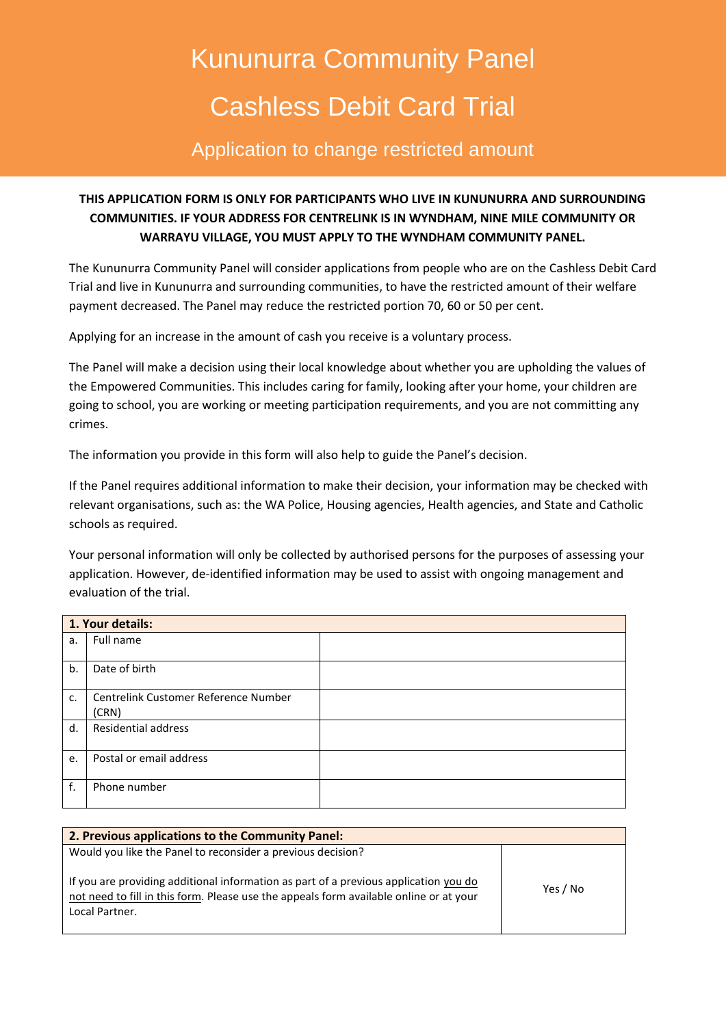# Kununurra Community Panel Cashless Debit Card Trial

## Application to change restricted amount

### **THIS APPLICATION FORM IS ONLY FOR PARTICIPANTS WHO LIVE IN KUNUNURRA AND SURROUNDING COMMUNITIES. IF YOUR ADDRESS FOR CENTRELINK IS IN WYNDHAM, NINE MILE COMMUNITY OR WARRAYU VILLAGE, YOU MUST APPLY TO THE WYNDHAM COMMUNITY PANEL.**

The Kununurra Community Panel will consider applications from people who are on the Cashless Debit Card Trial and live in Kununurra and surrounding communities, to have the restricted amount of their welfare payment decreased. The Panel may reduce the restricted portion 70, 60 or 50 per cent.

Applying for an increase in the amount of cash you receive is a voluntary process.

The Panel will make a decision using their local knowledge about whether you are upholding the values of the Empowered Communities. This includes caring for family, looking after your home, your children are going to school, you are working or meeting participation requirements, and you are not committing any crimes.

The information you provide in this form will also help to guide the Panel's decision.

If the Panel requires additional information to make their decision, your information may be checked with relevant organisations, such as: the WA Police, Housing agencies, Health agencies, and State and Catholic schools as required.

Your personal information will only be collected by authorised persons for the purposes of assessing your application. However, de-identified information may be used to assist with ongoing management and evaluation of the trial.

| 1. Your details: |                                      |  |
|------------------|--------------------------------------|--|
| a.               | Full name                            |  |
|                  |                                      |  |
| b.               | Date of birth                        |  |
| c.               | Centrelink Customer Reference Number |  |
|                  | (CRN)                                |  |
|                  |                                      |  |
| d.               | <b>Residential address</b>           |  |
| e.               | Postal or email address              |  |
| f.               | Phone number                         |  |

| 2. Previous applications to the Community Panel:                                                                                                                                                 |          |
|--------------------------------------------------------------------------------------------------------------------------------------------------------------------------------------------------|----------|
| Would you like the Panel to reconsider a previous decision?                                                                                                                                      |          |
| If you are providing additional information as part of a previous application you do<br>not need to fill in this form. Please use the appeals form available online or at your<br>Local Partner. | Yes / No |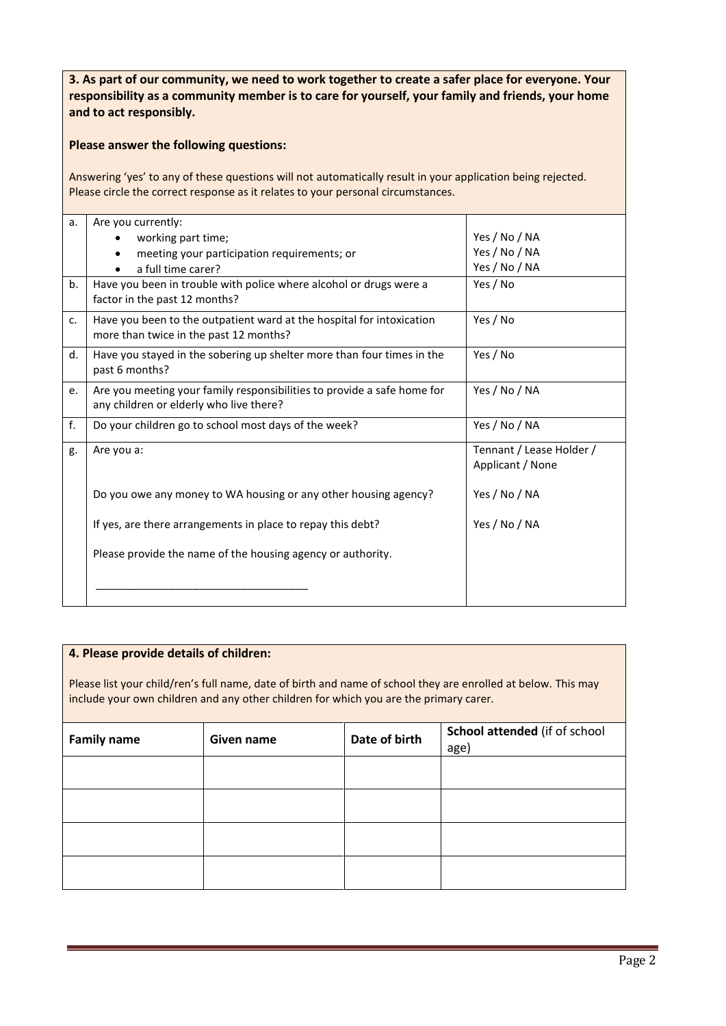**3. As part of our community, we need to work together to create a safer place for everyone. Your responsibility as a community member is to care for yourself, your family and friends, your home and to act responsibly.**

#### **Please answer the following questions:**

Answering 'yes' to any of these questions will not automatically result in your application being rejected. Please circle the correct response as it relates to your personal circumstances.

| a.             | Are you currently:<br>working part time;<br>meeting your participation requirements; or<br>a full time carer?      | Yes / No / NA<br>Yes / No / NA<br>Yes / No / NA |
|----------------|--------------------------------------------------------------------------------------------------------------------|-------------------------------------------------|
| b.             | Have you been in trouble with police where alcohol or drugs were a<br>factor in the past 12 months?                | Yes / No                                        |
| C <sub>1</sub> | Have you been to the outpatient ward at the hospital for intoxication<br>more than twice in the past 12 months?    | Yes / No                                        |
| d.             | Have you stayed in the sobering up shelter more than four times in the<br>past 6 months?                           | Yes / No                                        |
| e.             | Are you meeting your family responsibilities to provide a safe home for<br>any children or elderly who live there? | Yes / No / NA                                   |
| f.             | Do your children go to school most days of the week?                                                               | Yes / No / NA                                   |
| g.             | Are you a:                                                                                                         | Tennant / Lease Holder /<br>Applicant / None    |
|                | Do you owe any money to WA housing or any other housing agency?                                                    | Yes / No / NA                                   |
|                | If yes, are there arrangements in place to repay this debt?                                                        | Yes / No / NA                                   |
|                | Please provide the name of the housing agency or authority.                                                        |                                                 |
|                |                                                                                                                    |                                                 |

#### **4. Please provide details of children:**

Please list your child/ren's full name, date of birth and name of school they are enrolled at below. This may include your own children and any other children for which you are the primary carer.

| <b>Family name</b> | Given name | Date of birth | School attended (if of school<br>age) |
|--------------------|------------|---------------|---------------------------------------|
|                    |            |               |                                       |
|                    |            |               |                                       |
|                    |            |               |                                       |
|                    |            |               |                                       |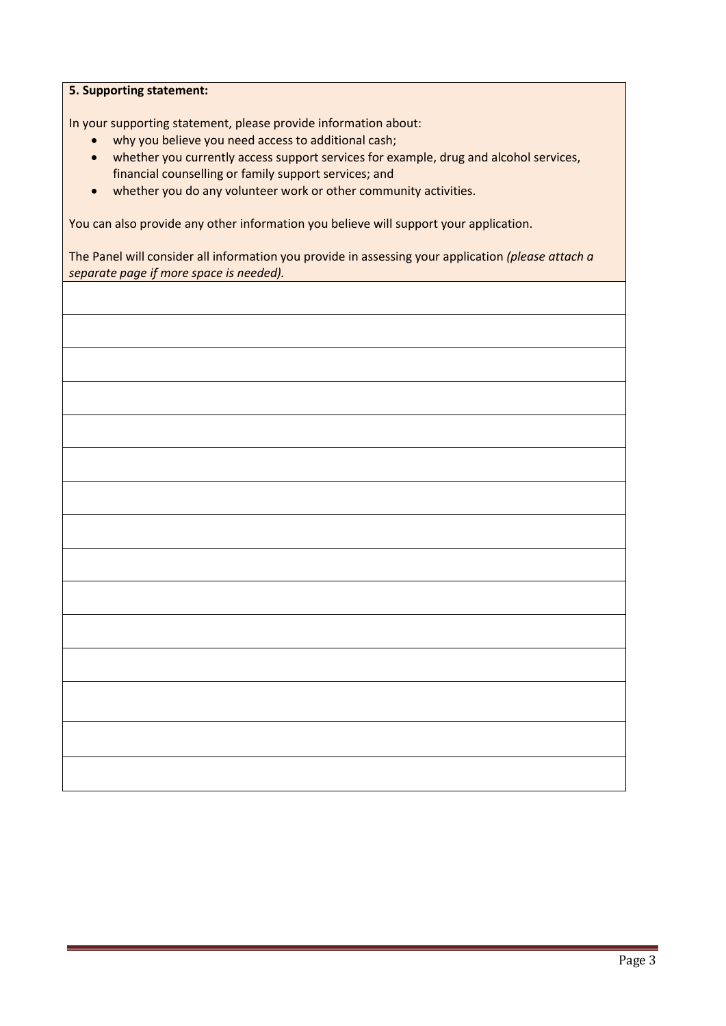#### **5. Supporting statement:**

In your supporting statement, please provide information about:

- why you believe you need access to additional cash;
- whether you currently access support services for example, drug and alcohol services, financial counselling or family support services; and
- whether you do any volunteer work or other community activities.

You can also provide any other information you believe will support your application.

The Panel will consider all information you provide in assessing your application *(please attach a separate page if more space is needed).*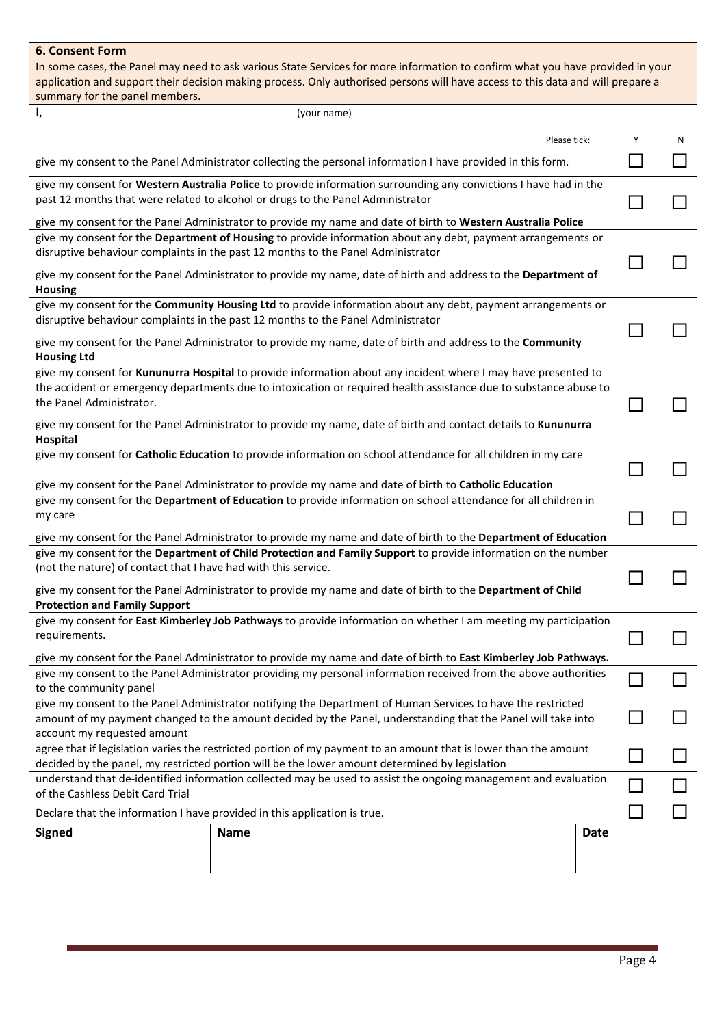#### **6. Consent Form**

In some cases, the Panel may need to ask various State Services for more information to confirm what you have provided in your application and support their decision making process. Only authorised persons will have access to this data and will prepare a summary for the panel members.

| Ι,<br>(your name)                                                                                                                                                                                                                 |                                                                                                              |        |   |
|-----------------------------------------------------------------------------------------------------------------------------------------------------------------------------------------------------------------------------------|--------------------------------------------------------------------------------------------------------------|--------|---|
| Please tick:                                                                                                                                                                                                                      |                                                                                                              | Υ      | N |
| give my consent to the Panel Administrator collecting the personal information I have provided in this form.                                                                                                                      |                                                                                                              |        |   |
| give my consent for Western Australia Police to provide information surrounding any convictions I have had in the<br>past 12 months that were related to alcohol or drugs to the Panel Administrator                              |                                                                                                              |        |   |
| give my consent for the Panel Administrator to provide my name and date of birth to Western Australia Police                                                                                                                      |                                                                                                              |        |   |
| disruptive behaviour complaints in the past 12 months to the Panel Administrator                                                                                                                                                  | give my consent for the Department of Housing to provide information about any debt, payment arrangements or |        |   |
| give my consent for the Panel Administrator to provide my name, date of birth and address to the Department of<br><b>Housing</b>                                                                                                  |                                                                                                              |        |   |
| give my consent for the Community Housing Ltd to provide information about any debt, payment arrangements or<br>disruptive behaviour complaints in the past 12 months to the Panel Administrator                                  |                                                                                                              |        |   |
| give my consent for the Panel Administrator to provide my name, date of birth and address to the Community<br><b>Housing Ltd</b>                                                                                                  |                                                                                                              |        |   |
| give my consent for Kununurra Hospital to provide information about any incident where I may have presented to                                                                                                                    |                                                                                                              |        |   |
| the accident or emergency departments due to intoxication or required health assistance due to substance abuse to<br>the Panel Administrator.                                                                                     |                                                                                                              |        |   |
| give my consent for the Panel Administrator to provide my name, date of birth and contact details to Kununurra<br>Hospital                                                                                                        |                                                                                                              |        |   |
| give my consent for Catholic Education to provide information on school attendance for all children in my care                                                                                                                    |                                                                                                              |        |   |
| give my consent for the Panel Administrator to provide my name and date of birth to Catholic Education                                                                                                                            |                                                                                                              |        |   |
| give my consent for the Department of Education to provide information on school attendance for all children in                                                                                                                   |                                                                                                              |        |   |
| my care                                                                                                                                                                                                                           |                                                                                                              |        |   |
| give my consent for the Panel Administrator to provide my name and date of birth to the Department of Education<br>give my consent for the Department of Child Protection and Family Support to provide information on the number |                                                                                                              |        |   |
| (not the nature) of contact that I have had with this service.                                                                                                                                                                    |                                                                                                              |        |   |
| give my consent for the Panel Administrator to provide my name and date of birth to the Department of Child                                                                                                                       |                                                                                                              |        |   |
| <b>Protection and Family Support</b>                                                                                                                                                                                              |                                                                                                              |        |   |
| give my consent for East Kimberley Job Pathways to provide information on whether I am meeting my participation                                                                                                                   |                                                                                                              |        |   |
| requirements.                                                                                                                                                                                                                     |                                                                                                              |        |   |
| give my consent for the Panel Administrator to provide my name and date of birth to East Kimberley Job Pathways.                                                                                                                  |                                                                                                              |        |   |
| give my consent to the Panel Administrator providing my personal information received from the above authorities                                                                                                                  |                                                                                                              | $\Box$ |   |
| to the community panel                                                                                                                                                                                                            |                                                                                                              |        |   |
| give my consent to the Panel Administrator notifying the Department of Human Services to have the restricted<br>amount of my payment changed to the amount decided by the Panel, understanding that the Panel will take into      |                                                                                                              |        |   |
| account my requested amount                                                                                                                                                                                                       |                                                                                                              |        |   |
| agree that if legislation varies the restricted portion of my payment to an amount that is lower than the amount                                                                                                                  |                                                                                                              |        |   |
| decided by the panel, my restricted portion will be the lower amount determined by legislation                                                                                                                                    |                                                                                                              |        |   |
| understand that de-identified information collected may be used to assist the ongoing management and evaluation<br>of the Cashless Debit Card Trial                                                                               |                                                                                                              |        |   |
| Declare that the information I have provided in this application is true.                                                                                                                                                         |                                                                                                              |        |   |
| <b>Signed</b><br><b>Name</b>                                                                                                                                                                                                      | Date                                                                                                         |        |   |
|                                                                                                                                                                                                                                   |                                                                                                              |        |   |
|                                                                                                                                                                                                                                   |                                                                                                              |        |   |